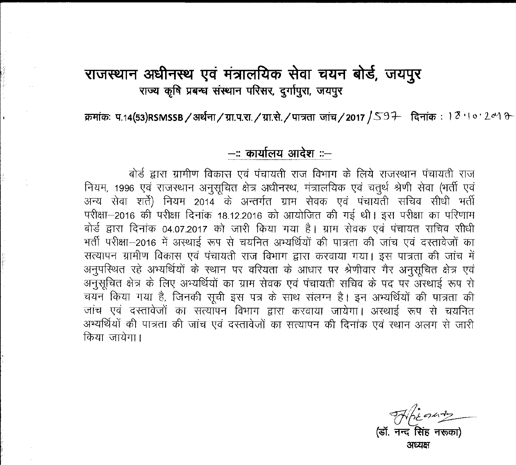### राजस्थान अधीनस्थ एवं मंत्रालयिक सेवा चयन बोर्ड, जयपूर राज्य कृषि प्रबन्ध संस्थान परिसर, दुर्गापुरा, जयपुर

 $~$ क्रमांकः प.14(53)RSMSSB / अर्थना / ग्रा.प.रा. / ग्रा.से. / पात्रता जांच / 2017 / 59+ दिनांकः । <sup>2</sup> '। ० ' *Lo*'1 0-

#### **-:: Cf>llIhnll ~ ::-**

-बोर्ड द्वारा ग्रामीण विकास एवं पंचायती राज विभाग के लिये राजस्थान पंचायती राज नियम, 1996 एवं राजस्थान अनुसूचित क्षेत्र अधीनस्थ, मंत्रालयिक एवं चतुर्थ श्रेणी सेवा (भर्ती एवं अन्य सेवा शर्ते) नियम 2014 के अन्तर्गत ग्राम सेवक एवं पंचायती सचिव सीधी भर्ती परीक्षा-2016 की परीक्षा दिनांक 18.12.2016 को आयोजित की गई थी। इस परीक्षा का परिणाम बोर्ड द्वारा दिनांक 04.07.2017 को जारी किया गया है। ग्राम सेवक एवं पंचायत सचिव सीधी भर्ती परीक्षा-2016 में अस्थाई रूप से चयनित अभ्यर्थियों की पात्रता की जांच एवं दस्तावेजों का सत्यापन ग्रामीण विकास एवं पंचायती राज विभाग द्वारा करवाया गया। इस पात्रता की जांच में अनुपरिश्चित रहे अभ्यर्थियों के स्थान पर वरियता के आधार पर श्रेणीवार गैर अनुसूचित क्षेत्र एवं अनुसूचित क्षेत्र के लिए अभ्यर्थियों का ग्राम सेवक एवं पंचायती सचिव के पद पर अस्थाई रूप से चयन किया गया है, जिनकी सूची इस पत्र के साथ संलग्न है। इन अभ्यर्थियों की पात्रता की जांच एवं दस्तावेजों का सत्यांपन विभाग द्वारा करवाया जायेगा। अस्थाई रूप से चयनित अभ्यर्थियों की पात्रता की जांच एवं दरतावेजों का सत्यापन की दिनांक एवं स्थान अलग से जारी  $\vartheta$ िया जायेगा।

*<fJI&~~*  $($ डॉ. नन्द $\overline{R}$ सिंह नरूका अध्यक्ष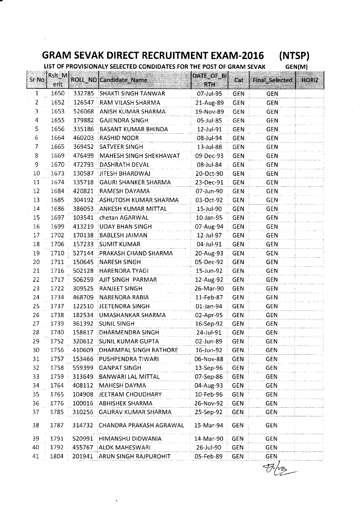### **GRAM SEVAK DIRECT RECRUITMENT EXAM-2016**

**(NTSP)**

**LIST OF PROVISIONALY SELECTED CONDIDATES FOR THE POST OF GRAM SEVAK**

**GEN{M}**

| Sr No        | RsIt M |        | ROLL NO Candidate Name        | DATE OF BI |            |                       | HORIZ |
|--------------|--------|--------|-------------------------------|------------|------------|-----------------------|-------|
|              | erit   |        |                               | <b>RTH</b> | Cat        | <b>Final Selected</b> |       |
| $\mathbf{1}$ | 1650   |        | 332785 SHAKTI SINGH TANWAR    | 07-Jul-95  | <b>GEN</b> | <b>GEN</b>            |       |
| 2            | 1652   | 126547 | RAM VILASH SHARMA             | 21-Aug-89  | GEN        | <b>GEN</b>            |       |
| 3            | 1653   | 526068 | ANISH KUMAR SHARMA            | 19-Nov-89  | <b>GEN</b> | <b>GEN</b>            |       |
| 4            | 1655   | 179882 | GAJENDRA SINGH                | 05-Jul-85  | <b>GEN</b> | GEN                   |       |
| 5            | 1656   | 335186 | <b>BASANT KUMAR BHINDA</b>    | 12-Jul-91  | <b>GEN</b> | <b>GEN</b>            |       |
| 6            | 1664   | 460203 | RASHID NOOR                   | 08-Jul-94  | <b>GEN</b> | <b>GEN</b>            |       |
| 7            | 1665   | 369452 | <b>SATVEER SINGH</b>          | 13-Jul-88  | <b>GEN</b> | <b>GEN</b>            |       |
| 8            | 1669   | 476499 | MAHESH SINGH SHEKHAWAT        | 09-Dec-93  | <b>GEN</b> | <b>GEN</b>            |       |
| 9            | 1670   | 472793 | DASHRATH DEVAL                | 08-Jul-84  | GEN        | <b>GEN</b>            |       |
| 10           | 1673   | 130587 | <b>JITESH BHARDWAJ</b>        | 20-Oct-90  | GEN        | <b>GEN</b>            |       |
| 11           | 1674   | 135718 | <b>GAURI SHANKER SHARMA</b>   | 23-Dec-91  | GEN        | GEN                   |       |
| 12           | 1684   | 420821 | RAMESH DAYAMA                 | 07-Jun-90  | <b>GEN</b> | <b>GEN</b>            |       |
| 13           | 1685   | 304192 | ASHUTOSH KUMAR SHARMA         | 03-Oct-92  | <b>GEN</b> | <b>GEN</b>            |       |
| 14           | 1686   | 386053 | ANKESH KUMAR MITTAL           | 15-Jul-90  | <b>GEN</b> | <b>GEN</b>            |       |
| 15           | 1697   | 103541 | chetan AGARWAL                | 10-Jan-95  | <b>GEN</b> | GEN                   |       |
| 16           | 1699   | 413219 | <b>JUDAY BHAN SINGH</b>       | 07-Aug-94  | <b>GEN</b> | GEN                   |       |
| 17           | 1702   | 170138 | <b>BABLESH JAIMAN</b>         | 12-Jul-97  | <b>GEN</b> | <b>GEN</b>            |       |
| 18           | 1706   | 157233 | <b>SUMIT KUMAR</b>            | 04-Jul-91  | <b>GEN</b> | <b>GEN</b>            |       |
| 19           | 1710   | 527144 | PRAKASH CHAND SHARMA          | 20-Aug-93  | <b>GEN</b> | <b>GEN</b>            |       |
| 20           | 1711   | 150645 | NARESH SINGH                  | 05-Dec-92  | <b>GEN</b> | <b>GEN</b>            |       |
| 21           | 1716   | 502128 | <b>HARENDRA TYAGI</b>         | 15-Jun-92  | <b>GEN</b> | GEN                   |       |
| 22           | 1717   | 506259 | AJIT SINGH PARMAR             | 12-Aug-92  | <b>GEN</b> | <b>GEN</b>            |       |
| 23           | 1722   | 309525 | RANJEET SINGH                 | 26-Mar-90  | GEN        | GEN                   |       |
| 24           | 1734   | 468709 | NARENDRA RABIA                | 11-Feb-87  | <b>GEN</b> | GEN                   |       |
| 25           | 1737   | 122510 | <b>JEETENDRA SINGH</b>        | 01-Jan-94  | GEN        | <b>GEN</b>            |       |
| 26           | 1738   | 182534 | UMASHANKAR SHARMA             | 02-Apr-95  | <b>GEN</b> | <b>GEN</b>            |       |
| 27           | 1739   | 361392 | <b>SUNIL SINGH</b>            | 16-Sep-92  | <b>GEN</b> | <b>GEN</b>            |       |
| 28           | 1740   | 158617 | <b>DHARMENDRA SINGH</b>       | 24-Jul-91  | <b>GEN</b> | <b>GEN</b>            |       |
| 29           | 1752   | 320612 | <b>SUNIL KUMAR GUPTA</b>      | 02-Jun-89  | <b>GEN</b> | <b>GEN</b>            |       |
| 30           | 1756   | 410609 | <b>DHARMPAL SINGH RATHORE</b> | 16-Jun-92  | GEN        | <b>GEN</b>            |       |
| 31           | 1757   | 153466 | PUSHPENDRA TIWARI             | 06-Nov-88  | <b>GEN</b> | <b>GEN</b>            |       |
| 32           | 1758   | 559399 | GANPAT SINGH                  | 13-Sep-96  | <b>GEN</b> | <b>GEN</b>            |       |
| 33           | 1759   | 313649 | <b>BANWARI LAL MITTAL</b>     | 07-Sep-86  | GEN        | <b>GEN</b>            |       |
| 34           | 1764   | 408112 | MAHESH DAYMA                  | 04-Aug-93  | <b>GEN</b> | GEN                   |       |
| 35           | 1765   | 104908 | JEETRAM CHOUDHARY             | 10-Feb-96  | <b>GEN</b> | <b>GEN</b>            |       |
| 36           | 1776   | 100016 | <b>ABHISHEK SHARMA</b>        | 26-Nov-92  | GEN        | <b>GEN</b>            |       |
| 37           | 1785   | 310256 | GAURAV KUMAR SHARMA           | 25-Sep-92  | <b>GEN</b> | <b>GEN</b>            |       |
| 38           | 1787   | 314732 | CHANDRA PRAKASH AGRAWAL       | 15-Mar-94  | GEN        | <b>GEN</b>            |       |
| 39           | 1791   | 520991 | HIMANSHU DIDWANIA             | 14-Mar-90  | <b>GEN</b> | <b>GEN</b>            |       |
| 40           | 1792   | 455767 | ALOK MAHESWARI                | 26-Jul-90  | GEN        | <b>GEN</b>            |       |
| 41           | 1804   | 201941 | <b>ARUN SINGH RAJPUROHIT</b>  | 05-Feb-89  | GEN        | GEN                   |       |
|              |        |        |                               |            |            |                       |       |

 $\frac{1}{\sqrt{2}}$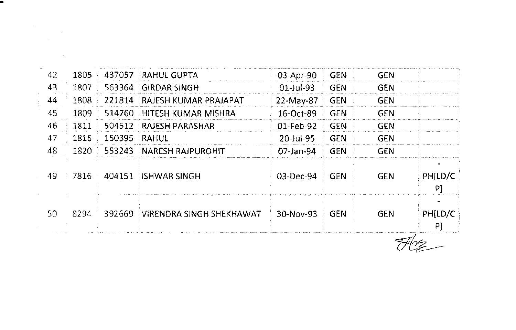| 42  | 1805 | 437057 | RAHUL GUPTA                      | 03-Apr-90     | : GEN      | GEN        |               |
|-----|------|--------|----------------------------------|---------------|------------|------------|---------------|
| 43  | 1807 | 563364 | <b>GIRDAR SINGH</b>              | $01 -$ Jul-93 | <b>GEN</b> | GEN        |               |
| 44  | 1808 | 221814 | RAJESH KUMAR PRAJAPAT            | 22-May-87     | <b>GEN</b> | GEN        |               |
| 45  | 1809 | 514760 | ाना ESH KUMAR MISHRA             | 16-Oct-89     | <b>GEN</b> | <b>GEN</b> |               |
| 46  | 1811 | 504512 | RAJESH PARASHAR                  | 01-Feb-92     | <b>GEN</b> | <b>GEN</b> |               |
| 47  | 1816 | 150395 | RAHUL                            | 20-Jul-95     | <b>GEN</b> | GEN        |               |
| 48  | 1820 | 553243 | <b>NARESH RAJPUROHIT</b>         | $07$ -Jan-94  | <b>GEN</b> | <b>GEN</b> |               |
| 49. | 7816 | 404151 | <b>EISHWAR SINGH</b>             | 03-Dec-94     | <b>GEN</b> | <b>GEN</b> | PHILD/C<br>P] |
| 50  | 8294 | 392669 | <b>IVIRENDRA SINGH SHEKHAWAT</b> | 30-Nov-93     | <b>GEN</b> | <b>GEN</b> | PH[LD/C<br>PI |

ш

 $\label{eq:2.1} \mathcal{L}(\mathcal{L}^{\text{max}}_{\mathcal{L}}(\mathcal{L}^{\text{max}}_{\mathcal{L}}),\mathcal{L}^{\text{max}}_{\mathcal{L}^{\text{max}}_{\mathcal{L}}(\mathcal{L}^{\text{max}}_{\mathcal{L}^{\text{max}}_{\mathcal{L}^{\text{max}}_{\mathcal{L}^{\text{max}}_{\mathcal{L}^{\text{max}}_{\mathcal{L}^{\text{max}}_{\mathcal{L}^{\text{max}}_{\mathcal{L}^{\text{max}}_{\mathcal{L}^{\text{max}}_{\mathcal{L}^{\text{max}}_{\mathcal{$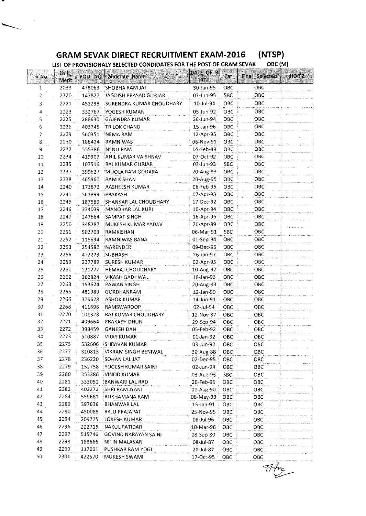#### **GRAM SEVAK DIRECT RECRUITMENT EXAM-2016 (NTSP)**

 $\bar{\gamma}$ 

**LIST OF PROVISIONALY SELECTEDCONDIDATES FOR THE POST OF GRAM SEVAK OBC (M)**

| Sr No  | <b>Rsit</b><br>Merit |        | <b>ROLL_NO</b> (Candidate_Name | DATE OF B<br><b>IRTH</b>     | Cat        | Final Selected | HORIZ |
|--------|----------------------|--------|--------------------------------|------------------------------|------------|----------------|-------|
| 1      | 2033                 | 478063 | SHOBHA RAM JAT                 | 30-Jan-95                    | OBC        | OBC            |       |
| 2      | 2220                 | 147827 | JAGDISH PRASAD GURJAR          | 07-Jun-95                    | SBC.       | ОВС            |       |
| 3      | 2221                 | 451298 | :SURENDRA KUMAR CHOUDHARY      | 10-Jul-94                    | OBC        | OBC            |       |
| 4      | 2223                 | 332767 | YOGESH KUMAR                   | 05-Jun-92                    | OBC        | OBC            |       |
| 5      | 2225                 | 266630 | GAJENDRA KUMAR                 | 26-Jun-94                    | ОВС        | OBC            |       |
| 6      | 2226                 | 403745 | <b>TRILOK CHAND</b>            | 15-Jan-96                    | OBC        | OBC            |       |
| 7      | 2229                 | 560351 | NEMA RAM                       | 12-Apr-95                    | ОВС        | OBC            |       |
| 8      | 2230                 | 188424 | RAMNIWAS                       | 06-Nov-91                    | ОВС        | OBC            |       |
| 9      | 2232                 | 555386 | NENU RAM                       | 05-Feb-89                    | OBC        | ОВС            |       |
| 10     | 2234                 | 419907 | ANIL KUMAR VAISHNAV            | 07-Oct-92                    | OBC        | OBC            |       |
| 11     | 2235                 | 107516 | RAJ KUMAR GURJAR               | 03-Jun-93                    | SBC        | OBC            |       |
| 12     | 2237                 | 399627 | MOOLA RAM GODARA               | 20-Aug-93                    | OBC        | OBC            |       |
| 13     | 2238                 | 465960 | RAM KISHAN                     | 20-Aug-95                    | OBC        | OBC            |       |
| 14     | 2240                 | 173872 | AASHEESH KUMAR                 | 06-Feb-95                    | OBC        | OBC            |       |
| 15     | 2241                 | 561899 | PRAKASH                        | 07-Apr-93                    | OBC        | OBC            |       |
| 16     | 2245                 | 187589 | SHANKAR LAL CHOUDHARY          | 17-Dec-92                    | OBC        | OBC            |       |
| 17     | 2246                 | 334039 | MANOHAR LAL KURI               | 10-Apr-94                    | OBC        | ОВС            |       |
| $18\,$ | 2247                 | 247664 | SAMPAT SINGH                   | 16-Apr-95                    | OBC        | OBC            |       |
| 19     | 2250                 | 348787 | MUKESH KUMAR YADAV             | 20-Apr-89                    | OBC        | ОВС            |       |
| 20     | 2251                 | 502703 | <b>RAMKISHAN</b>               | 06-Mar-91                    | <b>SBC</b> | овс            |       |
| 21     | 2252                 | 115694 | <b>RAMNIWAS BANA</b>           | $01-Sep-94$                  | OBC        | овс            |       |
| 22     | 2253                 | 254582 | NARENDER                       | 09-Dec-95                    | OBC        | OBC            |       |
| 23     | 2256                 | 472223 | <b>SUBHASH</b>                 | 26-Jan-97                    | ОВС        | ОВС            |       |
| 24     | 2259                 | 237789 | SURESH KUMAR                   | 02-Apr-95                    | OBC        | OBC            |       |
| 25     | 2261                 | 121277 | <b>HEMRAJ CHOUDHARY</b>        | 10-Aug-92                    | OBC        | овс            |       |
| 26     | 2262                 | 362824 | VIKASH GADHWAL                 | 18-Jan-93                    | ОВС        | ОВС            |       |
| 27     | 2263                 | 153624 | <b>PAWAN SINGH</b>             | 20-Aug-93                    | ОВС        | ОВС            |       |
| 28     | 2265                 | 481989 | GORDHANRAM                     | 12-Jan-90                    | OBC        | OBC            |       |
| 29     | 2266                 | 376628 | <b>ASHOK KUMAR</b>             | 14-Jun-91                    | ОВС        | OBC            |       |
| 30     | 2268                 | 411696 | RAMSWAROOP                     | 02-Jul-94                    | OBC        | ОВС            |       |
| 31     | 2270                 | 101328 | RAJ KUMAR CHOUDHARY            | 12-Nov-87                    | OBC        | OBC            |       |
| 32     | 2271                 | 409664 | PRAKASH DHUN                   | 29-Sep-94                    | ОВС        | OBC            |       |
| 33     | 2272                 | 398459 | <b>GANESH DAN</b>              | 05-Feb-92                    | ОВС        | OBC            |       |
| 34     | 2273                 | 510887 | VIJAY KUMAR                    | 01-Jan-92                    | OBC        | OBC.           |       |
| 35     | 2275                 | 532606 | <b>SHRAVAN KUMAR</b>           | 03-Jun-92                    | OBC        | ОВС            |       |
| 36     | 2277                 | 310815 | VIKRAM SINGH BENIWAL           | 30-Aug-88                    | OBC        | овс            |       |
| 37     | 2278                 | 236220 | SOHAN LAL JAT                  | 02-Dec-95                    | OBC        | ОВС            |       |
| 38     | 2279                 | 152758 | YOGESH KUMAR SAINI             | 02-Jun-94                    | ОВС        | ОВС            |       |
| 39     | 2280                 | 353386 | VINOD KUMAR                    | 03-Aug-93                    | SBC        | овс            |       |
| 40.    | 2281                 | 333051 | BANWARI LAL RAD                | 20-Feb-96                    | OBC        | OBC            |       |
| 41     | 2282                 | 402272 | SHRI RAM JYANI                 | 01-Aug-90                    | OBC        | ОВС            |       |
| 42     | 2284                 | 559681 | RUKHAMANA RAM                  | 08-May-93                    | OBC        | овс            |       |
| 43     | 2289                 | 397636 | BHANWAR LAL                    |                              |            | ОВС            |       |
| 44     | 2290                 | 450088 | RAJU PRAJAPAT                  | $15 - Jan - 91$<br>25-Nov-95 | ОВС<br>OBC | ОВС            |       |
| 45     | 2294                 | 209775 | LOKESH KUMAR                   | 08-Jul-96                    | OBC        | OBC            |       |
| 46     | 2296                 | 222715 | NAKUL PATIDAR                  |                              |            | OBC            |       |
| 47     | 2297                 | 515746 | <b>GOVIND NARAYAN SAINI</b>    | 10-Mar-96<br>08-Sep-80       | OBC        | OBC            |       |
| 48     | 2298                 | 188666 | NITIN MALAKAR                  | 08-Jul-87                    | OBC<br>OBC | овс            |       |
| 49     | 2299                 | 117001 | <b>PUSHKAR RAM YOGI</b>        | 20-Jul-87                    | OBC        | OBC            |       |
| 50     | 2301                 | 422570 | MUKESH SWAMI                   | 17-Oct-95                    | OBC        | ОВС            |       |
|        |                      |        |                                |                              |            |                |       |

 $\frac{1}{\sqrt{2}}\int_{0}^{2\pi}f(x)dx$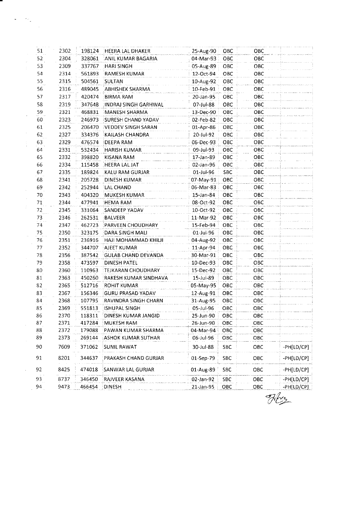| 51 | 2302 |        | 198124 HEERA LAL DHAKER    | 25-Aug-90       | OBC        | OBC  |            |
|----|------|--------|----------------------------|-----------------|------------|------|------------|
| 52 | 2304 | 328061 | <b>ANIL KUMAR BAGARIA</b>  | 04-Mar-93       | OBC        | ОВС  |            |
| 53 | 2309 | 337767 | <b>HARI SINGH</b>          | 05-Aug-89       | ОВС        | ОВС  |            |
| 54 | 2314 | 561893 | RAMESH KUMAR               | 12-Oct-94       | ОВС        | ОВС  |            |
| 55 | 2315 | 504561 | SULTAN                     | 10-Aug-92       | OBC        | OBC  |            |
| 56 | 2316 | 489045 | <b>ABHISHEK SHARMA</b>     | 10-Feb-91       | OBC        | ОВС  |            |
| 57 | 2317 | 420474 | <b>BIRMA RAM</b>           | 20-Jan-95       | OBC        | OBC  |            |
| 58 | 2319 | 347648 | INDRAJ SINGH GARHWAL       | 07-Jul-88       | OBC        | ОВС  |            |
| 59 | 2321 | 468831 | MANESH SHARMA              | 13-Dec-90       | OBC        | ОВС  |            |
| 60 | 2323 | 246973 | <b>SURESH CHAND YADAV</b>  | 02-Feb-82       | ОВС        | ОВС  |            |
| 61 | 2325 | 206470 | <b>IVEDDEV SINGH SARAN</b> | 01-Apr-86       | OBC        | ОВС  |            |
| 62 | 2327 | 334376 | KAILASH CHANDRA            | 20-Jul-92       | OBC        | ОВС  |            |
| 63 | 2329 | 476574 | <b>DEEPA RAM</b>           | 06-Dec-93       | OBC        | OBC. |            |
| 64 | 2331 | 532434 | <b>HARISH KUMAR</b>        | 09-Jul-93       | ОВС        | ОВС  |            |
| 65 | 2332 | 398820 | KISANA RAM                 | 17-Jan-89       | OBC        | OBC  |            |
| 66 | 2334 | 115458 | HEERA LAL JAT              | 02-Jan-96       | OBC        | ОВС  |            |
| 67 | 2335 | 189824 | KALU RAM GURJAR            | 01-Jul-96       | <b>SBC</b> | OBC  |            |
| 68 | 2341 | 205728 | DINESH KUMAR               | 07-May-91       | <b>OBC</b> | OBC  |            |
| 69 | 2342 | 252944 | LAL CHAND                  | 06-Mar-83       | <b>OBC</b> | ОВС  |            |
| 70 | 2343 | 404320 | MUKESH KUMAR               | $15 - Jan - 84$ | OBC        | OBC  |            |
| 71 | 2344 | 477941 | <b>HEMA RAM</b>            | 08-Oct-92       | OBC        | OBC  |            |
| 72 | 2345 | 331064 | <b>SANDEEP YADAV</b>       | 10-Oct-92       | OBC        | OBC  |            |
| 73 | 2346 | 262531 | BALVEER                    | 11-Mar-92       | OBC        | OBC  |            |
| 74 | 2347 | 462723 | <b>EPARVEEN CHOUDHARY</b>  | 15-Feb-94       | OBC        | OBC  |            |
| 75 | 2350 | 323175 | DARA SINGH MALI            | 01-Jul-96       | OBC        | OBC  |            |
| 76 | 2351 | 236916 | HAJI MOHAMMAD KHILJI       | 04-Aug-92       | OBC        | OBC  |            |
| 77 | 2352 | 344707 | AJEET KUMAR                | 11-Apr-94       | OBC        | OBC  |            |
| 78 | 2356 | 387542 | <b>GULAB CHAND DEVANDA</b> | 30-Mar-91       | OBC        | OBC  |            |
| 79 | 2358 | 473597 | DINESH PATEL               | 10-Dec-93       | ОВС        | OBC  |            |
| 80 | 2360 | 110963 | <b>TEJKARAN CHOUDHARY</b>  | 15-Dec-92       | OBC        | ОВС  |            |
| 81 | 2363 | 450260 | RAKESH KUMAR SINDHAVA      | 15-Jul-89       | OBC        | ОВС  |            |
| 82 | 2365 | 512716 | <b>ROHIT KUMAR</b>         | 05-May-95       | OBC        | ОВС  |            |
| 83 | 2367 | 156346 | <b>GURU PRASAD YADAV</b>   | 12-Aug-91       | OBC        | OBC  |            |
| 84 | 2368 | 107795 | RAVINDRA SINGH CHARN       | 31-Aug-95       | OBC        | OBC  |            |
| 85 | 2369 | 551813 | ISHUPAL SINGH              | 05-Jul-96       | OBC        | ОВС  |            |
| 86 | 2370 | 118311 | DINESH KUMAR JANGID        | 25-Jun-90       | OBC        | ОВС  |            |
| 87 | 2371 | 417284 | MUKESH RAM                 | 26-Jun-90       | OBC        | OBC  |            |
| 88 | 2372 | 179088 | PAWAN KUMAR SHARMA         | 04-Mar-94       | OBC        | OBC  |            |
| 89 | 2373 | 269144 | ASHOK KUMAR SUTHAR         | 06-Jul-96       | ОВС        | овс  |            |
| 90 | 7609 | 371062 | SUNIL RAWAT                | 30-Jul-88       | SBC        | OBC  | -PH[LD/CP] |
| 91 | 8201 | 344637 | PRAKASH CHAND GURJAR       | 01-Sep-79       | SBC        | OBC  | -PH[LD/CP] |
| 92 | 8425 | 474018 | SANWAR LAL GURJAR          | 01-Aug-89       | <b>SBC</b> | ОВС  | -PH[LD/CP] |
| 93 | 8737 | 346450 | RAJVEER KASANA             | 02-Jan-92       | SBC        | овс  | -PH[LD/CP] |
| 94 | 9473 | 466454 | DINESH                     | 21-Jan-95       | OBC        | OBC  | -PH[LD/CP] |

 $\frac{1}{\sqrt{2}}\left(\frac{1}{\sqrt{2}}\frac{1}{\sqrt{2}}\right)^{2}=\frac{1}{2}\left(\frac{1}{\sqrt{2}}\right)^{2}$ 

*1fQ--*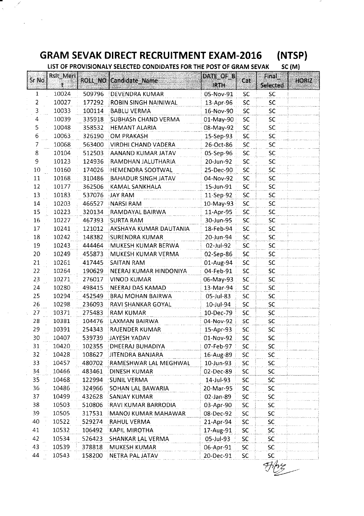# **GRAM SEVAK DIRECT RECRUITMENT EXAM-2016 (NTSP)**

/

 $\bar{\mathcal{L}}$ 

T.

**LIST OF PROVISIONALY SELECTED CONDIDATES FOR THE POST OF GRAM SEVAK SC (M)** 

| Sr <sub>No</sub> | <b>Rslt Meri</b> |        |                                 | DATE OF B    | Cat        | Final            |              |
|------------------|------------------|--------|---------------------------------|--------------|------------|------------------|--------------|
|                  |                  |        | ROLL NO Candidate Name          | <b>IRTH</b>  |            | <b>Selected:</b> | <b>HORIZ</b> |
| $\mathbf{1}$     | 10024            | 509796 | DEVENDRA KUMAR                  | 05-Nov-91    | SC         | <b>SC</b>        |              |
| 2                | 10027            | 177292 | ROBIN SINGH NAINIWAL            | 13-Apr-96    | SC         | <b>SC</b>        |              |
| 3                | 10033            | 100114 | <b>BABLU VERMA</b>              | 16-Nov-90    | SC         | SC               |              |
| 4                | 10039            | 335918 | SUBHASh CHAND VERMA             | 01-May-90    | ${\sf SC}$ | <b>SC</b>        |              |
| 5                | 10048            | 358532 | <b>HEMANT ALARIA</b>            | 08-May-92    | <b>SC</b>  | <b>SC</b>        |              |
| 6                | 10063            | 326190 | OM PRAKASH                      | 15-Sep-93    | SC         | <b>SC</b>        |              |
| 7                | 10068            |        | 563400 VIRDHI CHAND VADERA      | 26-Oct-86    | SC         | SC               |              |
| 8                | 10104            | 512503 | AANAND KUMAR JATAV              | 05-Sep-96    | SC         | SC.              |              |
| 9                | 10123            | 124936 | RAMDHAN JALUTHARIA              | 20-Jun-92    | SC         | <b>SC</b>        |              |
| $10\,$           | 10160            | 174026 | HEMENDRA SOOTWAL                | 25-Dec-90    | SC         | <b>SC</b>        |              |
| 11               | 10168            | 310486 | <b>BAHADUR SINGH JATAV</b>      | 04-Nov-92    | SC         | <b>SC</b>        |              |
| 12               | 10177            | 362506 | KAMAL SANKHALA                  | 15-Jun-91    | SC         | <b>SC</b>        |              |
| 13               | 10183            | 537076 | <b>JAY RAM</b>                  | 11-Sep-92    | SC         | SC               |              |
| $14\,$           | 10203            | 466527 | <b>NARSI RAM</b>                | 10-May-93    | SC         | <b>SC</b>        |              |
| $15\,$           | 10223            | 320134 | RAMDAYAL BAIRWA                 | 11-Apr-95    | SC         | <b>SC</b>        |              |
| 16               | 10227            | 467393 | <b>SURTA RAM</b>                | 30-Jun-95    | SC         | <b>SC</b>        |              |
| 17               | 10241            | 121012 | AKSHAYA KUMAR DAUTANIA          | 18-Feb-94    | SC         | SC               |              |
| 18               | 10242            | 148382 | SURENDRA KUMAR                  | 20-Jun-94    | <b>SC</b>  | <b>SC</b>        |              |
| 19               | 10243            | 444464 | MUKESH KUMAR BERWA              | $02$ -Jul-92 | <b>SC</b>  | SC.              |              |
| 20               | 10249            | 455873 | MUKESH KUMAR VERMA              | 02-Sep-86    | <b>SC</b>  | <b>SC</b>        |              |
| 21               | 10261            |        | 417445 SAITAN RAM               | 01-Aug-94    | SC         | SC               |              |
| 22               | 10264            | 190629 | NEERAJ KUMAR HINDONIYA          | 04-Feb-91    | SC         | <b>SC</b>        |              |
| 23               | 10271            | 276017 | <b>VINOD KUMAR</b>              | 06-May-93    | <b>SC</b>  | <b>SC</b>        |              |
| 24               | 10280            | 498415 | NEERAJ DAS KAMAD                | 13-Mar-94    | SC         | <b>SC</b>        |              |
| 25               | 10294            | 452549 | <b>BRAJ MOHAN BAIRWA</b>        | 05-Jul-83    | SC         | <b>SC</b>        |              |
| 26               | 10298            | 236093 | RAVI SHANKAR GOYAL              | 10-Jul-94    | <b>SC</b>  | SC.              |              |
| 27               | 10371            | 275483 | <b>RAM KUMAR</b>                | 10-Dec-79    | <b>SC</b>  | <b>SC</b>        |              |
| 28               | 10381            | 104476 | LAXMAN BAIRWA                   | 04-Nov-92    | SC         | <b>SC</b>        |              |
| 29               | 10391            | 254343 | <b>RAJENDER KUMAR</b>           | 15-Apr-93    | <b>SC</b>  | <b>SC</b>        |              |
| 30               | 10407            | 539739 | <b>JAYESH YADAV</b>             | 01-Nov-92    | <b>SC</b>  | <b>SC</b>        |              |
| 31               | 10420            |        | 102355   DHEERAJ BUHADIYA       | 07-Feb-97    | SC.        | SC               |              |
| 32               | 10428            | 108627 | <b>JITENDRA BANJARA</b>         | 16-Aug-89    | SC.        | SC.              |              |
| 33               | 10457            | 480702 | RAMESHWAR LAL MEGHWAL           | 10-Jun-93    | SC         | SC.              |              |
| 34               | 10466            | 483461 | DINESH KUMAR                    | 02-Dec-89    | SC         | <b>SC</b>        |              |
| 35               | 10468            | 122994 | <b>SUNIL VERMA</b>              | 14-Jul-93    | SC         | SC               |              |
| 36               | 10486            | 324966 | SOHAN LAL BAWARIA               | 20-Mar-95    | SC         | <b>SC</b>        |              |
| 37               | 10499            | 432628 | <b>SANJAY KUMAR</b>             | 02-Jan-89    | SC         | <b>SC</b>        |              |
| 38               | 10503            | 510806 | <b>RAVI KUMAR BARRODIA</b>      | 03-Apr-90    | SC         | <b>SC</b>        |              |
| 39               | 10505            | 317531 | $\parallel$ MANOJ KUMAR MAHAWAR | 08-Dec-92    | SC         | <b>SC</b>        |              |
| 40               | 10522            | 529274 | RAHUL VERMA                     | 21-Apr-94    | <b>SC</b>  | <b>SC</b>        |              |
| 41               | 10532            | 106492 | KAPIL MIROTHA                   | 17-Aug-91    | SC         | <b>SC</b>        |              |
| 42               | 10534            | 526423 | <b>SHANKAR LAL VERMA</b>        | 05-Jul-93    | SC         | <b>SC</b>        |              |
| 43               | 10539            | 378818 | <b>MUKESH KUMAR</b>             | 06-Apr-91    | <b>SC</b>  | SC.              |              |
| 44               | 10543            | 158200 | NETRA PAL JATAV                 | 20-Dec-91    | <b>SC</b>  | <b>SC</b>        |              |

 $\frac{1}{2}$ ~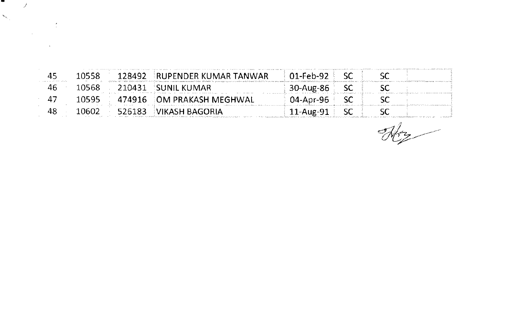| 45 | 10558  | 128492 RUPENDER KUMAR TANWAR | $01$ -Feb-92 $\pm$ SC |  |  |
|----|--------|------------------------------|-----------------------|--|--|
| 46 | 10568. | . 210431 SUNIL KUMAR         | 30-Aug-86 SC          |  |  |
|    | 10595  | 474916 DM PRAKASH MEGHWAL    | 04-Apr-96 SC          |  |  |
| 48 | 10602  | 526183 EVIKASH BAGORIA       | 11-Aug-91 SC          |  |  |

 $\mathcal{J}$ 

 $\hat{\mathcal{S}}_{\hat{\alpha}}$ 

 $\frac{1}{\sqrt{2\pi}}$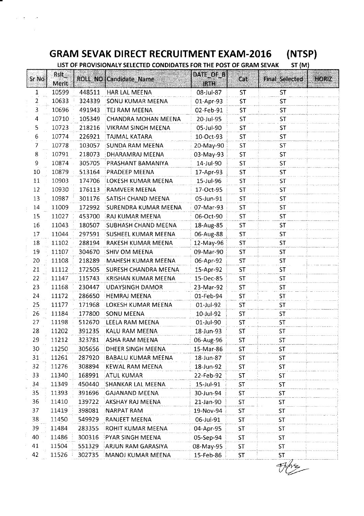# **GRAM SEVAK DIRECT RECRUITMENT EXAM-20I6 (NTSP)**

| LIST OF PROVISIONALY SELECTED CONDIDATES FOR THE POST OF GRAM SEVAK<br><b>ST (M)</b> |               |        |                               |                          |           |                       |       |  |  |
|--------------------------------------------------------------------------------------|---------------|--------|-------------------------------|--------------------------|-----------|-----------------------|-------|--|--|
| Sr No                                                                                | Rsit<br>Merit |        | <b>ROLL NO Candidate Name</b> | DATE OF B<br><b>IRTH</b> | Cat       | <b>Final_Selected</b> | HORIZ |  |  |
| 1                                                                                    | 10599         | 448511 | HAR LAL MEENA                 | 08-Jul-87                | <b>ST</b> | <b>ST</b>             |       |  |  |
| 2                                                                                    | 10633         | 324339 | <b>SONU KUMAR MEENA</b>       | 01-Apr-93                | <b>ST</b> | ST                    |       |  |  |
| 3                                                                                    | 10696         | 491943 | TEJ RAM MEENA                 | 02-Feb-91                | <b>ST</b> | <b>ST</b>             |       |  |  |
| 4                                                                                    | 10710         | 105349 | CHANDRA MOHAN MEENA           | 20-Jul-95                | ST        | <b>ST</b>             |       |  |  |
| 5                                                                                    | 10723         | 218216 | VIKRAM SINGH MEENA            | 05-Jul-90                | <b>ST</b> | ST                    |       |  |  |
| 6                                                                                    | 10774         | 226921 | TAJMAL KATARA                 | 10-Oct-93                | ST        | <b>ST</b>             |       |  |  |
| 7                                                                                    | 10778         | 103057 | SUNDA RAM MEENA               | 20-May-90                | <b>ST</b> | <b>ST</b>             |       |  |  |
| 8                                                                                    | 10791         | 218073 | DHARAMRAJ MEENA               | 03-May-93                | ST        | <b>ST</b>             |       |  |  |
| 9                                                                                    | 10874         | 305705 | <b>PRASHANT BAMANIYA</b>      | 14-Jul-90                | <b>ST</b> | <b>ST</b>             |       |  |  |
| 10                                                                                   | 10879         | 513164 | PRADEEP MEENA                 | 17-Apr-93                | <b>ST</b> | <b>ST</b>             |       |  |  |
| 11                                                                                   | 10903         | 174706 | LOKESH KUMAR MEENA            | 15-Jul-96                | ST        | <b>ST</b>             |       |  |  |
| 12                                                                                   | 10930         | 176113 | RAMVEER MEENA                 | 17-Oct-95                | ST        | ST                    |       |  |  |
| 13                                                                                   | 10987         | 301176 | SATISH CHAND MEENA            | 05-Jun-91                | ST        | <b>ST</b>             |       |  |  |
| 14                                                                                   | 11009         | 172992 | SURENDRA KUMAR MEENA          | 07-Mar-93                | ST        | ST                    |       |  |  |
| 15                                                                                   | 11027         | 453700 | RAJ KUMAR MEENA               | 06-Oct-90                | <b>ST</b> | ST                    |       |  |  |
| 16                                                                                   | 11043         | 180507 | SUBHASH CHAND MEENA           | 18-Aug-85                | ST        | <b>ST</b>             |       |  |  |
| 17                                                                                   | 11044         | 297591 | SUSHEEL KUMAR MEENA           | 06-Aug-88                | <b>ST</b> | <b>ST</b>             |       |  |  |
| 18                                                                                   | 11102         | 288194 | RAKESH KUMAR MEENA            | 12-May-96                | <b>ST</b> | <b>ST</b>             |       |  |  |
| 19                                                                                   | 11107         | 304670 | <b>SHIV OM MEENA</b>          | 09-Mar-90                | <b>ST</b> | ST                    |       |  |  |
| 20                                                                                   | 11108         | 218289 | MAHESH KUMAR MEENA            | 06-Apr-92                | ST        | ST                    |       |  |  |
| 21                                                                                   | 11112         | 172505 | <b>SURESH CHANDRA MEENA</b>   | 15-Apr-92                | <b>ST</b> | <b>ST</b>             |       |  |  |
| 22                                                                                   | 11147         | 115743 | KRISHAN KUMAR MEENA           | 15-Dec-85                | <b>ST</b> | ST                    |       |  |  |
| 23                                                                                   | 11168         | 230447 | UDAYSINGH DAMOR               | 23-Mar-92                | <b>ST</b> | <b>ST</b>             |       |  |  |
| 24                                                                                   | 11172         | 286650 | <b>HEMRAJ MEENA</b>           | 01-Feb-94                | <b>ST</b> | ST                    |       |  |  |
| 25                                                                                   | 11177         | 171968 | <b>LOKESH KUMAR MEENA</b>     | 01-Jul-92                | ST        | <b>ST</b>             |       |  |  |
| 26                                                                                   | 11184         | 177800 | <b>SONU MEENA</b>             | 10-Jul-92                | ST        | <b>ST</b>             |       |  |  |
| 27                                                                                   | 11198         | 512670 | LEELA RAM MEENA               | 01-Jul-90                | <b>ST</b> | <b>ST</b>             |       |  |  |
| 28                                                                                   | 11202         | 391235 | KALU RAM MEENA                | 18-Jun-93                | <b>ST</b> | <b>ST</b>             |       |  |  |
| 29                                                                                   | 11212         | 323781 | ASHA RAM MEENA                | 06-Aug-96                | ST        | ST                    |       |  |  |
| 30                                                                                   | 11250         | 305656 | DHEER SINGH MEENA             | 15-Mar-86                | <b>ST</b> | <b>ST</b>             |       |  |  |
| 31                                                                                   | 11261         | 287920 | BABALU KUMAR MEENA            | 18-Jun-87                | ST        | ST                    |       |  |  |
| 32                                                                                   | 11276         | 308894 | KEWAL RAM MEENA               | 18-Jun-92                | <b>ST</b> | <b>ST</b>             |       |  |  |
| 33                                                                                   | 11340         | 168991 | <b>ATUL KUMAR</b>             | 22-Feb-92                | ST        | ST                    |       |  |  |
| 34                                                                                   | 11349         | 450440 | SHANKAR LAL MEENA             | 15-Jul-91                | ST        | ST                    |       |  |  |
| 35                                                                                   | 11393         | 391696 | <b>GAJANAND MEENA</b>         | 30-Jun-94                | ST        | ST.                   |       |  |  |
| 36                                                                                   | 11410         | 139722 | AKSHAY RAJ MEENA              | 21-Jan-90                | ST        | ST                    |       |  |  |
| 37                                                                                   | 11419         | 398081 | NARPAT RAM                    | 19-Nov-94                | ST        | <b>ST</b>             |       |  |  |
| 38                                                                                   | 11450         | 549929 | <b>RANJEET MEENA</b>          | 06-Jul-91                | ST        | <b>ST</b>             |       |  |  |
| 39                                                                                   | 11484         | 283355 | ROHIT KUMAR MEENA             | 04-Apr-95                | ST        | ST                    |       |  |  |
| 40                                                                                   | 11486         | 300316 | PYAR SINGH MEENA              | 05-Sep-94                | ST        | <b>ST</b>             |       |  |  |
| 41                                                                                   | 11504         | 551329 | ARJUN RAM GARASIYA            | 08-May-95                | ST        | ST                    |       |  |  |
| 42                                                                                   | 11526         | 302735 | MANOJ KUMAR MEENA             | 15-Feb-86                | <b>ST</b> | ST                    |       |  |  |

 $7/2$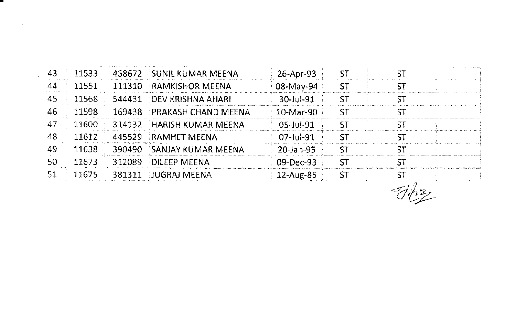| 43 | 11533 |        | 458672 SUNIL KUMAR MEENA   | 26-Apr-93        |  |  |
|----|-------|--------|----------------------------|------------------|--|--|
| 44 | 11551 | 111310 | $-RAMKISHOR MEENA$         | 08-May-94        |  |  |
| 45 | 11568 |        | 544431 DEV KRISHNA AHARI   | 30-Jul-91        |  |  |
| 46 | 11598 |        | 169438 PRAKASH CHAND MEENA | 10-Mar-90        |  |  |
| 47 | 11600 | 314132 | <b>HARISH KUMAR MEENA</b>  | $05 -$ Jul $-91$ |  |  |
| 48 |       | 445529 | <b>RAMHET MEENA</b>        | $07 -$ Jul-91    |  |  |
| 49 | 11638 | 390490 | SANJAY KUMAR MEENA         | 20-Jan-95        |  |  |
|    | 11673 | 312089 | <b>DILEEP MEENA</b>        | 09-Dec-93        |  |  |
| 51 | 11675 | 381311 | <b>HUGRAI MEENA</b>        | $12$ -Aug-85     |  |  |
|    |       |        |                            |                  |  |  |

 $\mathcal{O}(\mathcal{A})$  and  $\mathcal{O}(\mathcal{A})$  . The set of  $\mathcal{O}(\mathcal{A})$  and  $\mathcal{O}(\mathcal{A})$ 

 $\overline{\mathcal{A}_{22}}$